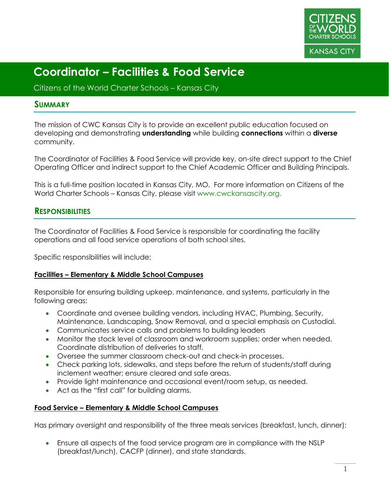

Citizens of the World Charter Schools – Kansas City

### **SUMMARY**

The mission of CWC Kansas City is to provide an excellent public education focused on developing and demonstrating **understanding** while building **connections** within a **diverse** community.

The Coordinator of Facilities & Food Service will provide key, on-site direct support to the Chief Operating Officer and indirect support to the Chief Academic Officer and Building Principals.

This is a full-time position located in Kansas City, MO. For more information on Citizens of the World Charter Schools – Kansas City, please visit www.cwckansascity.org.

# **RESPONSIBILITIES**

The Coordinator of Facilities & Food Service is responsible for coordinating the facility operations and all food service operations of both school sites.

Specific responsibilities will include:

#### **Facilities – Elementary & Middle School Campuses**

Responsible for ensuring building upkeep, maintenance, and systems, particularly in the following areas:

- Coordinate and oversee building vendors, including HVAC, Plumbing, Security, Maintenance, Landscaping, Snow Removal, and a special emphasis on Custodial.
- Communicates service calls and problems to building leaders
- Monitor the stock level of classroom and workroom supplies; order when needed. Coordinate distribution of deliveries to staff.
- Oversee the summer classroom check-out and check-in processes.
- Check parking lots, sidewalks, and steps before the return of students/staff during inclement weather; ensure cleared and safe areas.
- Provide light maintenance and occasional event/room setup, as needed.
- Act as the "first call" for building alarms.

#### **Food Service – Elementary & Middle School Campuses**

Has primary oversight and responsibility of the three meals services (breakfast, lunch, dinner):

• Ensure all aspects of the food service program are in compliance with the NSLP (breakfast/lunch), CACFP (dinner), and state standards.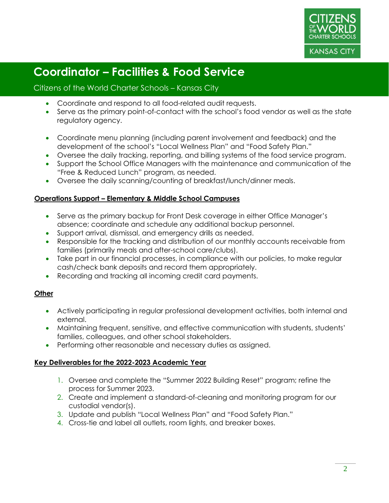

### Citizens of the World Charter Schools – Kansas City

- Coordinate and respond to all food-related audit requests.
- Serve as the primary point-of-contact with the school's food vendor as well as the state regulatory agency.
- Coordinate menu planning (including parent involvement and feedback) and the development of the school's "Local Wellness Plan" and "Food Safety Plan."
- Oversee the daily tracking, reporting, and billing systems of the food service program.
- Support the School Office Managers with the maintenance and communication of the "Free & Reduced Lunch" program, as needed.
- Oversee the daily scanning/counting of breakfast/lunch/dinner meals.

### **Operations Support – Elementary & Middle School Campuses**

- Serve as the primary backup for Front Desk coverage in either Office Manager's absence; coordinate and schedule any additional backup personnel.
- Support arrival, dismissal, and emergency drills as needed.
- Responsible for the tracking and distribution of our monthly accounts receivable from families (primarily meals and after-school care/clubs).
- Take part in our financial processes, in compliance with our policies, to make regular cash/check bank deposits and record them appropriately.
- Recording and tracking all incoming credit card payments.

### **Other**

- Actively participating in regular professional development activities, both internal and external.
- Maintaining frequent, sensitive, and effective communication with students, students' families, colleagues, and other school stakeholders.
- Performing other reasonable and necessary duties as assigned.

#### **Key Deliverables for the 2022-2023 Academic Year**

- 1. Oversee and complete the "Summer 2022 Building Reset" program; refine the process for Summer 2023.
- 2. Create and implement a standard-of-cleaning and monitoring program for our custodial vendor(s).
- 3. Update and publish "Local Wellness Plan" and "Food Safety Plan."
- 4. Cross-tie and label all outlets, room lights, and breaker boxes.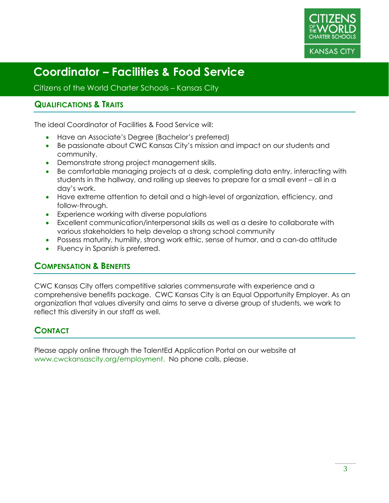

Citizens of the World Charter Schools – Kansas City

### **QUALIFICATIONS & TRAITS**

The ideal Coordinator of Facilities & Food Service will:

- Have an Associate's Degree (Bachelor's preferred)
- Be passionate about CWC Kansas City's mission and impact on our students and community.
- Demonstrate strong project management skills.
- Be comfortable managing projects at a desk, completing data entry, interacting with students in the hallway, and rolling up sleeves to prepare for a small event – all in a day's work.
- Have extreme attention to detail and a high-level of organization, efficiency, and follow-through.
- Experience working with diverse populations
- Excellent communication/interpersonal skills as well as a desire to collaborate with various stakeholders to help develop a strong school community
- Possess maturity, humility, strong work ethic, sense of humor, and a can-do attitude
- Fluency in Spanish is preferred.

### **COMPENSATION & BENEFITS**

CWC Kansas City offers competitive salaries commensurate with experience and a comprehensive benefits package. CWC Kansas City is an Equal Opportunity Employer. As an organization that values diversity and aims to serve a diverse group of students, we work to reflect this diversity in our staff as well.

# **CONTACT**

Please apply online through the TalentEd Application Portal on our website at www.cwckansascity.org/employment. No phone calls, please.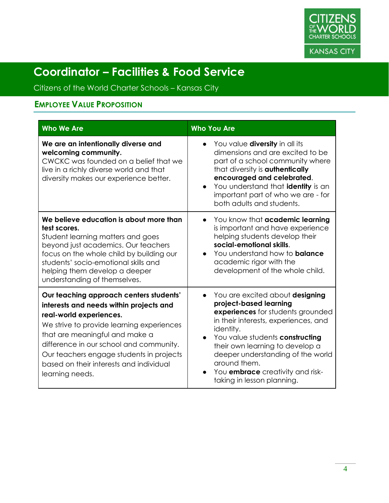

Citizens of the World Charter Schools – Kansas City

# **EMPLOYEE VALUE PROPOSITION**

| <b>Who We Are</b>                                                                                                                                                                                                                                                                                                                                 | <b>Who You Are</b>                                                                                                                                                                                                                                                                                                                                                   |
|---------------------------------------------------------------------------------------------------------------------------------------------------------------------------------------------------------------------------------------------------------------------------------------------------------------------------------------------------|----------------------------------------------------------------------------------------------------------------------------------------------------------------------------------------------------------------------------------------------------------------------------------------------------------------------------------------------------------------------|
| We are an intentionally diverse and<br>welcoming community.<br>CWCKC was founded on a belief that we<br>live in a richly diverse world and that<br>diversity makes our experience better.                                                                                                                                                         | You value <b>diversity</b> in all its<br>dimensions and are excited to be<br>part of a school community where<br>that diversity is <b>authentically</b><br>encouraged and celebrated.<br>You understand that identity is an<br>important part of who we are - for<br>both adults and students.                                                                       |
| We believe education is about more than<br>test scores.<br>Student learning matters and goes<br>beyond just academics. Our teachers<br>focus on the whole child by building our<br>students' socio-emotional skills and<br>helping them develop a deeper<br>understanding of themselves.                                                          | You know that academic learning<br>$\bullet$<br>is important and have experience<br>helping students develop their<br>social-emotional skills.<br>You understand how to <b>balance</b><br>$\bullet$<br>academic rigor with the<br>development of the whole child.                                                                                                    |
| Our teaching approach centers students'<br>interests and needs within projects and<br>real-world experiences.<br>We strive to provide learning experiences<br>that are meaningful and make a<br>difference in our school and community.<br>Our teachers engage students in projects<br>based on their interests and individual<br>learning needs. | You are excited about designing<br>$\bullet$<br>project-based learning<br>experiences for students grounded<br>in their interests, experiences, and<br>identity.<br>You value students constructing<br>their own learning to develop a<br>deeper understanding of the world<br>around them.<br>You <b>embrace</b> creativity and risk-<br>taking in lesson planning. |